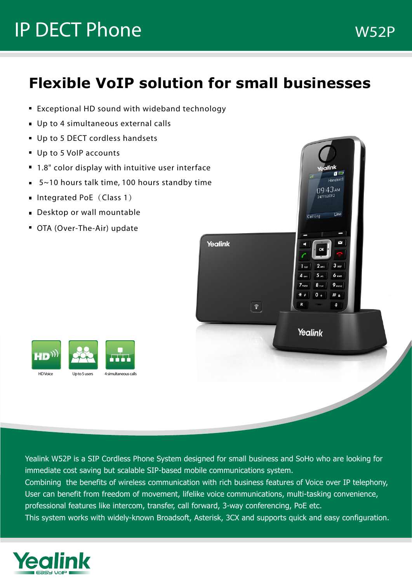# **IP DECT Phone W52P**

### **Flexible VoIP solution for small businesses**

- Exceptional HD sound with wideband technology
- Up to 4 simultaneous external calls
- Up to 5 DECT cordless handsets
- Up to 5 VolP accounts
- 1.8" color display with intuitive user interface
- 5~10 hours talk time, 100 hours standby time
- Integrated PoE (Class 1)
- **Desktop or wall mountable**
- OTA (Over-The-Air) update





Yealink W52P is a SIP Cordless Phone System designed for small business and SoHo who are looking for immediate cost saving but scalable SIP-based mobile communications system.

Combining the benefits of wireless communication with rich business features of Voice over IP telephony, User can benefit from freedom of movement, lifelike voice communications, multi-tasking convenience, professional features like intercom, transfer, call forward, 3-way conferencing, PoE etc.

This system works with widely-known Broadsoft, Asterisk, 3CX and supports quick and easy configuration.